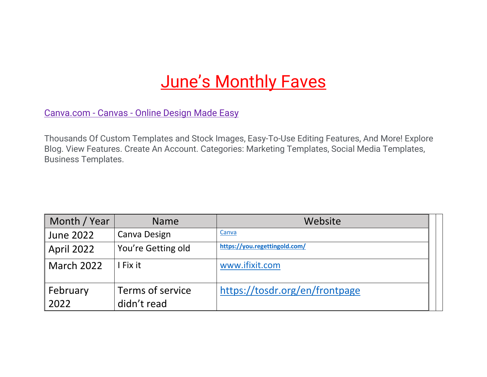## **June's Monthly Faves**

Canva.com - Canvas - [Online Design Made Easy](https://www.googleadservices.com/pagead/aclk?sa=L&ai=DChcSEwi_1c6p5PP3AhUyOLMAHeBEApAYABAAGgJ5bQ&ohost=www.google.com&cid=CAESauD2VF64dN0rarO2dVToNd9G-QZcwT8nYsBXT86c-XSRdLeGVmZKOsvxZibu8qjV4Ua8iiUNbaD5CMx_R2CrWeaqTV41NwwARTZu3qCKX9s87wr0HgmGQmj-cCtKeiotKC2KMGrA0tEMsjM&sig=AOD64_3P3zepAGVJOiayPZyrPMBleZRDcw&q&adurl&ved=2ahUKEwifk8ep5PP3AhWmQzABHcHmAEUQ0Qx6BAgDEAE)

Thousands Of Custom Templates and Stock Images, Easy-To-Use Editing Features, And More! Explore Blog. View Features. Create An Account. Categories: Marketing Templates, Social Media Templates, Business Templates.

| Month / Year      | <b>Name</b>        | Website                        |  |
|-------------------|--------------------|--------------------------------|--|
| June 2022         | Canva Design       | Canva                          |  |
| April 2022        | You're Getting old | https://you.regettingold.com/  |  |
| <b>March 2022</b> | I Fix it           | www.ifixit.com                 |  |
|                   |                    |                                |  |
| February          | Terms of service   | https://tosdr.org/en/frontpage |  |
| 2022              | didn't read        |                                |  |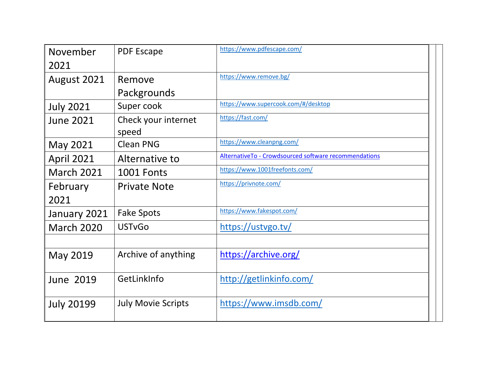| November          | <b>PDF Escape</b>         | https://www.pdfescape.com/                            |
|-------------------|---------------------------|-------------------------------------------------------|
| 2021              |                           |                                                       |
| August 2021       | Remove                    | https://www.remove.bg/                                |
|                   | Packgrounds               |                                                       |
| <b>July 2021</b>  | Super cook                | https://www.supercook.com/#/desktop                   |
| <b>June 2021</b>  | Check your internet       | https://fast.com/                                     |
|                   | speed                     |                                                       |
| May 2021          | <b>Clean PNG</b>          | https://www.cleanpng.com/                             |
| <b>April 2021</b> | Alternative to            | AlternativeTo - Crowdsourced software recommendations |
| <b>March 2021</b> | 1001 Fonts                | https://www.1001freefonts.com/                        |
| February          | <b>Private Note</b>       | https://privnote.com/                                 |
| 2021              |                           |                                                       |
| January 2021      | <b>Fake Spots</b>         | https://www.fakespot.com/                             |
| <b>March 2020</b> | <b>USTvGo</b>             | https://ustvgo.tv/                                    |
|                   |                           |                                                       |
| May 2019          | Archive of anything       | https://archive.org/                                  |
|                   |                           |                                                       |
| <b>June 2019</b>  | GetLinkInfo               | http://getlinkinfo.com/                               |
|                   |                           |                                                       |
| <b>July 20199</b> | <b>July Movie Scripts</b> | https://www.imsdb.com/                                |
|                   |                           |                                                       |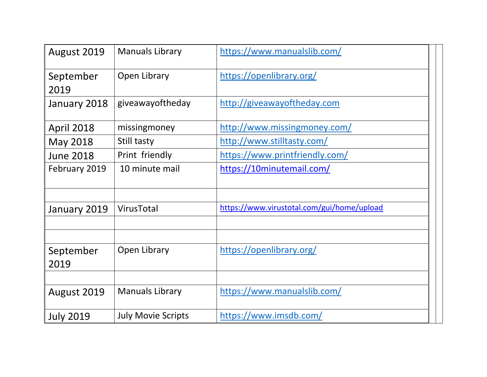| August 2019       | <b>Manuals Library</b>    | https://www.manualslib.com/                |
|-------------------|---------------------------|--------------------------------------------|
| September<br>2019 | Open Library              | https://openlibrary.org/                   |
| January 2018      | giveawayoftheday          | http://giveawayoftheday.com                |
| <b>April 2018</b> | missingmoney              | http://www.missingmoney.com/               |
| May 2018          | Still tasty               | http://www.stilltasty.com/                 |
| <b>June 2018</b>  | Print friendly            | https://www.printfriendly.com/             |
| February 2019     | 10 minute mail            | https://10minutemail.com/                  |
| January 2019      | VirusTotal                | https://www.virustotal.com/gui/home/upload |
| September<br>2019 | Open Library              | https://openlibrary.org/                   |
|                   |                           |                                            |
| August 2019       | <b>Manuals Library</b>    | https://www.manualslib.com/                |
| <b>July 2019</b>  | <b>July Movie Scripts</b> | https://www.imsdb.com/                     |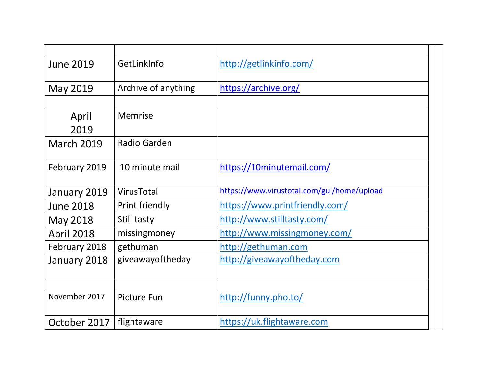| GetLinkInfo         | http://getlinkinfo.com/                    |
|---------------------|--------------------------------------------|
|                     |                                            |
| Archive of anything | https://archive.org/                       |
|                     |                                            |
| Memrise             |                                            |
|                     |                                            |
| Radio Garden        |                                            |
|                     |                                            |
| 10 minute mail      | https://10minutemail.com/                  |
|                     |                                            |
| VirusTotal          | https://www.virustotal.com/gui/home/upload |
| Print friendly      | https://www.printfriendly.com/             |
| Still tasty         | http://www.stilltasty.com/                 |
| missingmoney        | http://www.missingmoney.com/               |
| gethuman            | http://gethuman.com                        |
| giveawayoftheday    | http://giveawayoftheday.com                |
|                     |                                            |
|                     |                                            |
| Picture Fun         | http://funny.pho.to/                       |
|                     |                                            |
| flightaware         | https://uk.flightaware.com                 |
|                     |                                            |